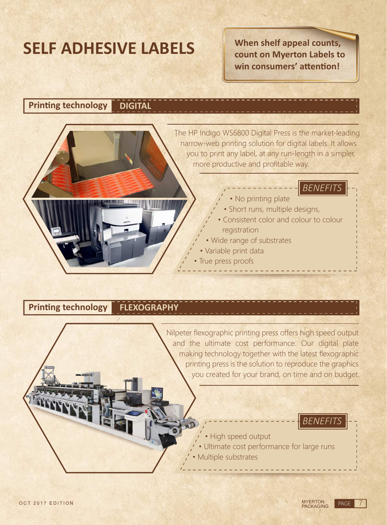# **SELF ADHESIVE LABELS**

**When shelf appeal counts, count on Myerton Labels to**  win consumers' attention!

**DIGITAL Printing technology** 



## **Printing technology <b>FLEXOGRAPHY**

Nilpeter flexographic printing press offers high speed output and the ultimate cost performance. Our digital plate making technology together with the latest flexographic printing press is the solution to reproduce the graphics you created for your brand, on time and on budget.

- High speed output
- Ultimate cost performance for large runs
- Multiple substrates

*BENEFITS*